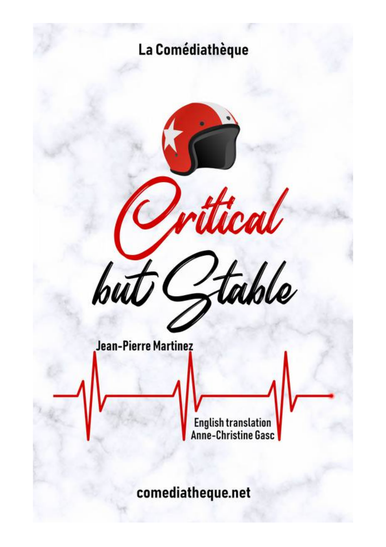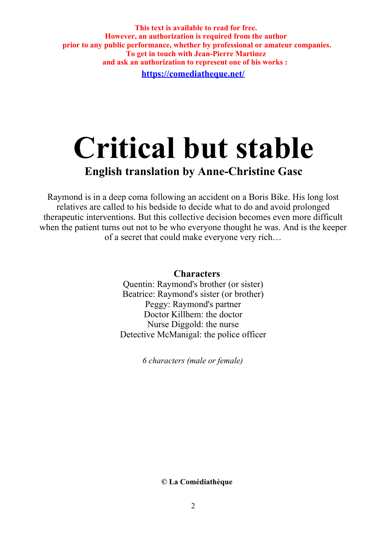**This text is available to read for free. However, an authorization is required from the author prior to any public performance, whether by professional or amateur companies. To get in touch with Jean-Pierre Martinez and ask an authorization to represent one of his works : <https://comediatheque.net/>**

# **Critical but stable**

## **English translation by Anne-Christine Gasc**

Raymond is in a deep coma following an accident on a Boris Bike. His long lost relatives are called to his bedside to decide what to do and avoid prolonged therapeutic interventions. But this collective decision becomes even more difficult when the patient turns out not to be who everyone thought he was. And is the keeper of a secret that could make everyone very rich…

#### **Characters**

Quentin: Raymond's brother (or sister) Beatrice: Raymond's sister (or brother) Peggy: Raymond's partner Doctor Killhem: the doctor Nurse Diggold: the nurse Detective McManigal: the police officer

*6 characters (male or female)*

**© La Comédiathèque**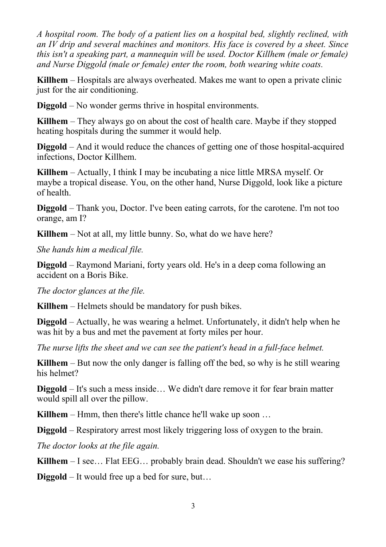*A hospital room. The body of a patient lies on a hospital bed, slightly reclined, with an IV drip and several machines and monitors. His face is covered by a sheet. Since this isn't a speaking part, a mannequin will be used. Doctor Killhem (male or female) and Nurse Diggold (male or female) enter the room, both wearing white coats.*

**Killhem** – Hospitals are always overheated. Makes me want to open a private clinic just for the air conditioning.

**Diggold** – No wonder germs thrive in hospital environments.

**Killhem** – They always go on about the cost of health care. Maybe if they stopped heating hospitals during the summer it would help.

**Diggold** – And it would reduce the chances of getting one of those hospital-acquired infections, Doctor Killhem.

**Killhem** – Actually, I think I may be incubating a nice little MRSA myself. Or maybe a tropical disease. You, on the other hand, Nurse Diggold, look like a picture of health.

**Diggold** – Thank you, Doctor. I've been eating carrots, for the carotene. I'm not too orange, am I?

**Killhem** – Not at all, my little bunny. So, what do we have here?

*She hands him a medical file.*

**Diggold** – Raymond Mariani, forty years old. He's in a deep coma following an accident on a Boris Bike.

*The doctor glances at the file.*

**Killhem** – Helmets should be mandatory for push bikes.

**Diggold** – Actually, he was wearing a helmet. Unfortunately, it didn't help when he was hit by a bus and met the pavement at forty miles per hour.

*The nurse lifts the sheet and we can see the patient's head in a full-face helmet.*

**Killhem** – But now the only danger is falling off the bed, so why is he still wearing his helmet?

**Diggold** – It's such a mess inside… We didn't dare remove it for fear brain matter would spill all over the pillow.

**Killhem** – Hmm, then there's little chance he'll wake up soon …

**Diggold** – Respiratory arrest most likely triggering loss of oxygen to the brain.

*The doctor looks at the file again.*

**Killhem** – I see... Flat EEG... probably brain dead. Shouldn't we ease his suffering?

**Diggold** – It would free up a bed for sure, but...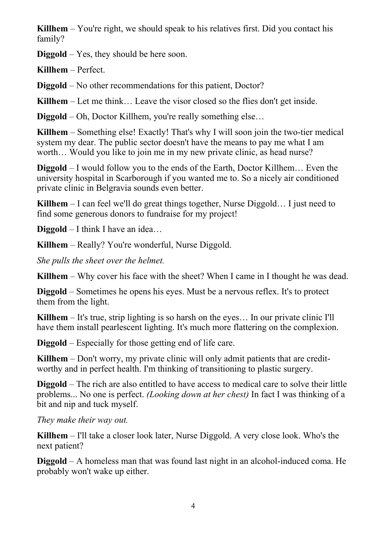**Killhem** – You're right, we should speak to his relatives first. Did you contact his family?

**Diggold** – Yes, they should be here soon.

**Killhem** – Perfect.

**Diggold** – No other recommendations for this patient, Doctor?

**Killhem** – Let me think… Leave the visor closed so the flies don't get inside.

**Diggold** – Oh, Doctor Killhem, you're really something else...

**Killhem** – Something else! Exactly! That's why I will soon join the two-tier medical system my dear. The public sector doesn't have the means to pay me what I am worth… Would you like to join me in my new private clinic, as head nurse?

**Diggold** – I would follow you to the ends of the Earth, Doctor Killhem... Even the university hospital in Scarborough if you wanted me to. So a nicely air conditioned private clinic in Belgravia sounds even better.

**Killhem** – I can feel we'll do great things together, Nurse Diggold… I just need to find some generous donors to fundraise for my project!

**Diggold** – I think I have an idea…

**Killhem** – Really? You're wonderful, Nurse Diggold.

*She pulls the sheet over the helmet.*

**Killhem** – Why cover his face with the sheet? When I came in I thought he was dead.

**Diggold** – Sometimes he opens his eyes. Must be a nervous reflex. It's to protect them from the light.

**Killhem** – It's true, strip lighting is so harsh on the eyes… In our private clinic I'll have them install pearlescent lighting. It's much more flattering on the complexion.

**Diggold** – Especially for those getting end of life care.

**Killhem** – Don't worry, my private clinic will only admit patients that are creditworthy and in perfect health. I'm thinking of transitioning to plastic surgery.

**Diggold** – The rich are also entitled to have access to medical care to solve their little problems... No one is perfect. *(Looking down at her chest)* In fact I was thinking of a bit and nip and tuck myself.

*They make their way out.*

**Killhem** – I'll take a closer look later, Nurse Diggold. A very close look. Who's the next patient?

**Diggold** – A homeless man that was found last night in an alcohol-induced coma. He probably won't wake up either.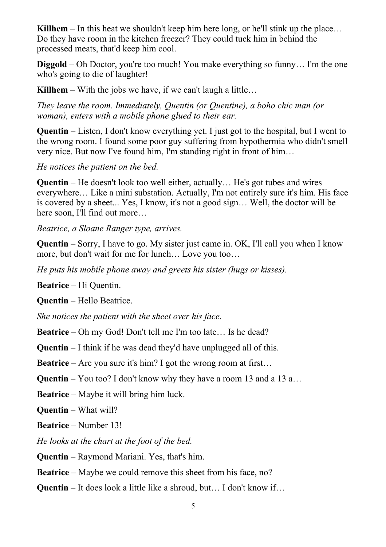**Killhem** – In this heat we shouldn't keep him here long, or he'll stink up the place... Do they have room in the kitchen freezer? They could tuck him in behind the processed meats, that'd keep him cool.

**Diggold** – Oh Doctor, you're too much! You make everything so funny... I'm the one who's going to die of laughter!

**Killhem** – With the jobs we have, if we can't laugh a little...

*They leave the room. Immediately, Quentin (or Quentine), a boho chic man (or woman), enters with a mobile phone glued to their ear.*

**Quentin** – Listen, I don't know everything yet. I just got to the hospital, but I went to the wrong room. I found some poor guy suffering from hypothermia who didn't smell very nice. But now I've found him, I'm standing right in front of him…

*He notices the patient on the bed.*

**Quentin** – He doesn't look too well either, actually... He's got tubes and wires everywhere… Like a mini substation. Actually, I'm not entirely sure it's him. His face is covered by a sheet... Yes, I know, it's not a good sign… Well, the doctor will be here soon, I'll find out more…

*Beatrice, a Sloane Ranger type, arrives.*

**Quentin** – Sorry, I have to go. My sister just came in. OK, I'll call you when I know more, but don't wait for me for lunch… Love you too…

*He puts his mobile phone away and greets his sister (hugs or kisses).*

**Beatrice** – Hi Quentin.

**Quentin** – Hello Beatrice.

*She notices the patient with the sheet over his face.*

**Beatrice** – Oh my God! Don't tell me I'm too late… Is he dead?

**Quentin** – I think if he was dead they'd have unplugged all of this.

**Beatrice** – Are you sure it's him? I got the wrong room at first...

**Quentin** – You too? I don't know why they have a room 13 and a 13 a...

**Beatrice** – Maybe it will bring him luck.

**Quentin** – What will?

**Beatrice** – Number 13!

*He looks at the chart at the foot of the bed.*

**Quentin** – Raymond Mariani. Yes, that's him.

**Beatrice** – Maybe we could remove this sheet from his face, no?

**Quentin** – It does look a little like a shroud, but... I don't know if...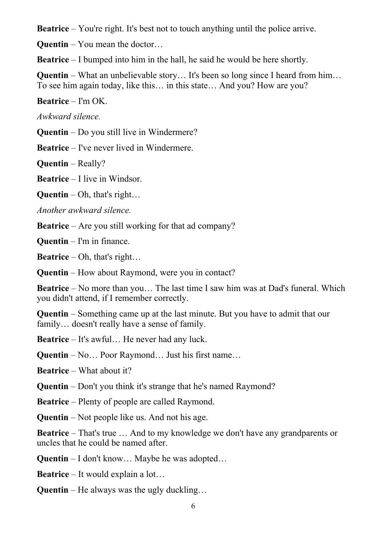**Beatrice** – You're right. It's best not to touch anything until the police arrive.

**Quentin** – You mean the doctor…

**Beatrice** – I bumped into him in the hall, he said he would be here shortly.

**Quentin** – What an unbelievable story... It's been so long since I heard from him... To see him again today, like this… in this state… And you? How are you?

**Beatrice** – I'm OK.

*Awkward silence.*

**Quentin** – Do you still live in Windermere?

**Beatrice** – I've never lived in Windermere.

**Quentin** – Really?

**Beatrice** – I live in Windsor.

**Quentin** – Oh, that's right…

*Another awkward silence.*

**Beatrice** – Are you still working for that ad company?

**Quentin** – I'm in finance.

**Beatrice** – Oh, that's right…

**Quentin** – How about Raymond, were you in contact?

**Beatrice** – No more than you… The last time I saw him was at Dad's funeral. Which you didn't attend, if I remember correctly.

**Quentin** – Something came up at the last minute. But you have to admit that our family... doesn't really have a sense of family.

**Beatrice** – It's awful… He never had any luck.

**Quentin** – No... Poor Raymond... Just his first name...

**Beatrice** – What about it?

**Quentin** – Don't you think it's strange that he's named Raymond?

**Beatrice** – Plenty of people are called Raymond.

**Quentin** – Not people like us. And not his age.

**Beatrice** – That's true … And to my knowledge we don't have any grandparents or uncles that he could be named after.

**Quentin** – I don't know… Maybe he was adopted…

**Beatrice** – It would explain a lot…

**Quentin** – He always was the ugly duckling...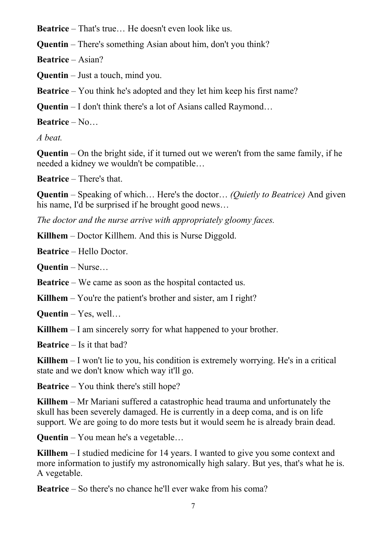**Beatrice** – That's true… He doesn't even look like us.

**Quentin** – There's something Asian about him, don't you think?

**Beatrice** – Asian?

**Quentin** – Just a touch, mind you.

**Beatrice** – You think he's adopted and they let him keep his first name?

**Quentin** – I don't think there's a lot of Asians called Raymond…

**Beatrice** – No…

*A beat.*

**Quentin** – On the bright side, if it turned out we weren't from the same family, if he needed a kidney we wouldn't be compatible…

**Beatrice** – There's that.

**Quentin** – Speaking of which… Here's the doctor… *(Quietly to Beatrice)* And given his name, I'd be surprised if he brought good news…

*The doctor and the nurse arrive with appropriately gloomy faces.*

**Killhem** – Doctor Killhem. And this is Nurse Diggold.

**Beatrice** – Hello Doctor.

**Quentin** – Nurse…

**Beatrice** – We came as soon as the hospital contacted us.

**Killhem** – You're the patient's brother and sister, am I right?

**Quentin** – Yes, well…

**Killhem** – I am sincerely sorry for what happened to your brother.

**Beatrice** – Is it that bad?

**Killhem** – I won't lie to you, his condition is extremely worrying. He's in a critical state and we don't know which way it'll go.

**Beatrice** – You think there's still hope?

**Killhem** – Mr Mariani suffered a catastrophic head trauma and unfortunately the skull has been severely damaged. He is currently in a deep coma, and is on life support. We are going to do more tests but it would seem he is already brain dead.

**Quentin** – You mean he's a vegetable…

**Killhem** – I studied medicine for 14 years. I wanted to give you some context and more information to justify my astronomically high salary. But yes, that's what he is. A vegetable.

**Beatrice** – So there's no chance he'll ever wake from his coma?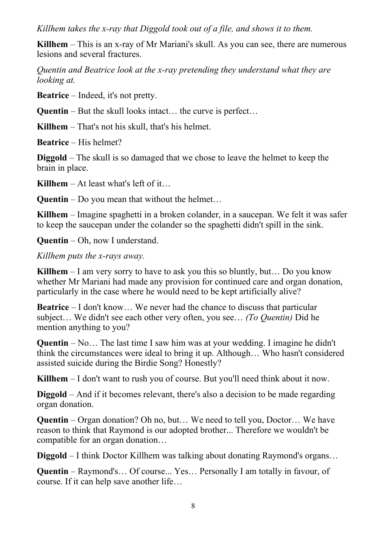*Killhem takes the x-ray that Diggold took out of a file, and shows it to them.*

**Killhem** – This is an x-ray of Mr Mariani's skull. As you can see, there are numerous lesions and several fractures.

*Quentin and Beatrice look at the x-ray pretending they understand what they are looking at.*

**Beatrice** – Indeed, it's not pretty.

**Quentin** – But the skull looks intact… the curve is perfect…

**Killhem** – That's not his skull, that's his helmet.

**Beatrice** – His helmet?

**Diggold** – The skull is so damaged that we chose to leave the helmet to keep the brain in place.

**Killhem** – At least what's left of it…

**Quentin** – Do you mean that without the helmet...

**Killhem** – Imagine spaghetti in a broken colander, in a saucepan. We felt it was safer to keep the saucepan under the colander so the spaghetti didn't spill in the sink.

**Quentin** – Oh, now I understand.

*Killhem puts the x-rays away.*

**Killhem** – I am very sorry to have to ask you this so bluntly, but… Do you know whether Mr Mariani had made any provision for continued care and organ donation, particularly in the case where he would need to be kept artificially alive?

**Beatrice** – I don't know… We never had the chance to discuss that particular subject… We didn't see each other very often, you see… *(To Quentin)* Did he mention anything to you?

**Quentin** – No... The last time I saw him was at your wedding. I imagine he didn't think the circumstances were ideal to bring it up. Although… Who hasn't considered assisted suicide during the Birdie Song? Honestly?

**Killhem** – I don't want to rush you of course. But you'll need think about it now.

**Diggold** – And if it becomes relevant, there's also a decision to be made regarding organ donation.

**Quentin** – Organ donation? Oh no, but... We need to tell you, Doctor... We have reason to think that Raymond is our adopted brother... Therefore we wouldn't be compatible for an organ donation…

**Diggold** – I think Doctor Killhem was talking about donating Raymond's organs...

**Quentin** – Raymond's… Of course... Yes… Personally I am totally in favour, of course. If it can help save another life…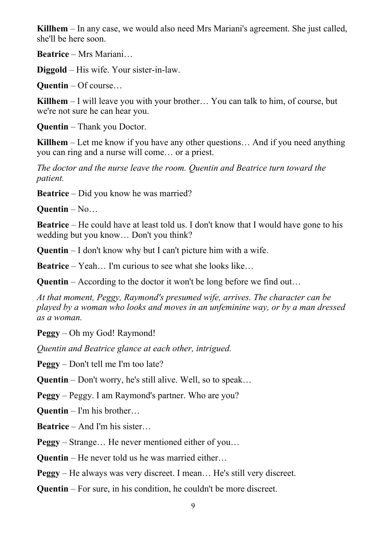**Killhem** – In any case, we would also need Mrs Mariani's agreement. She just called, she'll be here soon.

**Beatrice** – Mrs Mariani…

**Diggold** – His wife. Your sister-in-law.

**Quentin** – Of course…

**Killhem** – I will leave you with your brother… You can talk to him, of course, but we're not sure he can hear you.

**Quentin** – Thank you Doctor.

**Killhem** – Let me know if you have any other questions… And if you need anything you can ring and a nurse will come… or a priest.

*The doctor and the nurse leave the room. Quentin and Beatrice turn toward the patient.*

**Beatrice** – Did you know he was married?

**Quentin** – No…

**Beatrice** – He could have at least told us. I don't know that I would have gone to his wedding but you know… Don't you think?

**Quentin** – I don't know why but I can't picture him with a wife.

**Beatrice** – Yeah… I'm curious to see what she looks like…

**Quentin** – According to the doctor it won't be long before we find out...

*At that moment, Peggy, Raymond's presumed wife, arrives. The character can be played by a woman who looks and moves in an unfeminine way, or by a man dressed as a woman.*

**Peggy** – Oh my God! Raymond!

*Quentin and Beatrice glance at each other, intrigued.*

**Peggy** – Don't tell me I'm too late?

**Quentin** – Don't worry, he's still alive. Well, so to speak...

**Peggy** – Peggy. I am Raymond's partner. Who are you?

**Quentin** – I'm his brother…

**Beatrice** – And I'm his sister…

**Peggy** – Strange… He never mentioned either of you…

**Quentin** – He never told us he was married either…

**Peggy** – He always was very discreet. I mean… He's still very discreet.

**Quentin** – For sure, in his condition, he couldn't be more discreet.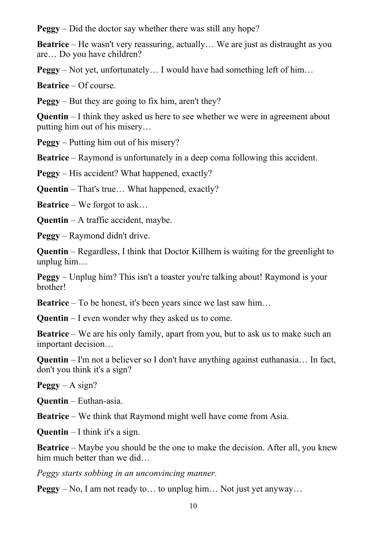**Peggy** – Did the doctor say whether there was still any hope?

**Beatrice** – He wasn't very reassuring, actually… We are just as distraught as you are… Do you have children?

**Peggy** – Not yet, unfortunately... I would have had something left of him...

**Beatrice** – Of course.

**Peggy** – But they are going to fix him, aren't they?

**Quentin** – I think they asked us here to see whether we were in agreement about putting him out of his misery…

**Peggy** – Putting him out of his misery?

**Beatrice** – Raymond is unfortunately in a deep coma following this accident.

**Peggy** – His accident? What happened, exactly?

**Quentin** – That's true... What happened, exactly?

**Beatrice** – We forgot to ask…

**Quentin** – A traffic accident, maybe.

**Peggy** – Raymond didn't drive.

**Quentin** – Regardless, I think that Doctor Killhem is waiting for the greenlight to unplug him…

**Peggy** – Unplug him? This isn't a toaster you're talking about! Raymond is your brother!

**Beatrice** – To be honest, it's been years since we last saw him…

**Quentin** – I even wonder why they asked us to come.

**Beatrice** – We are his only family, apart from you, but to ask us to make such an important decision…

**Quentin** – I'm not a believer so I don't have anything against euthanasia... In fact, don't you think it's a sign?

**Peggy** – A sign?

**Quentin** – Euthan-asia.

**Beatrice** – We think that Raymond might well have come from Asia.

**Quentin** – I think it's a sign.

**Beatrice** – Maybe you should be the one to make the decision. After all, you knew him much better than we did…

*Peggy starts sobbing in an unconvincing manner.*

**Peggy** – No, I am not ready to... to unplug him... Not just yet anyway...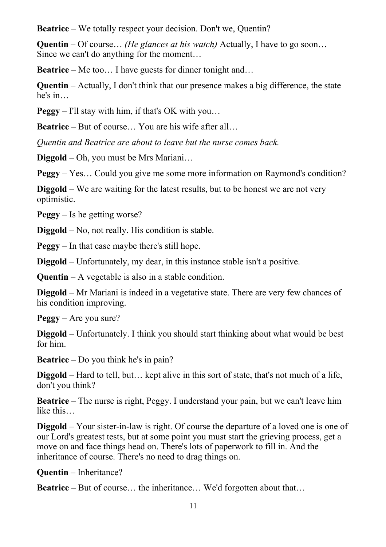**Beatrice** – We totally respect your decision. Don't we, Quentin?

**Quentin** – Of course… *(He glances at his watch)* Actually, I have to go soon… Since we can't do anything for the moment…

**Beatrice** – Me too... I have guests for dinner tonight and...

**Quentin** – Actually, I don't think that our presence makes a big difference, the state he's in…

**Peggy** – I'll stay with him, if that's OK with you…

**Beatrice** – But of course… You are his wife after all…

*Quentin and Beatrice are about to leave but the nurse comes back.*

**Diggold** – Oh, you must be Mrs Mariani…

**Peggy** – Yes… Could you give me some more information on Raymond's condition?

**Diggold** – We are waiting for the latest results, but to be honest we are not very optimistic.

**Peggy** – Is he getting worse?

**Diggold** – No, not really. His condition is stable.

**Peggy** – In that case maybe there's still hope.

**Diggold** – Unfortunately, my dear, in this instance stable isn't a positive.

**Quentin** – A vegetable is also in a stable condition.

**Diggold** – Mr Mariani is indeed in a vegetative state. There are very few chances of his condition improving.

**Peggy** – Are you sure?

**Diggold** – Unfortunately. I think you should start thinking about what would be best for him.

**Beatrice** – Do you think he's in pain?

**Diggold** – Hard to tell, but... kept alive in this sort of state, that's not much of a life, don't you think?

**Beatrice** – The nurse is right, Peggy. I understand your pain, but we can't leave him like this…

**Diggold** – Your sister-in-law is right. Of course the departure of a loved one is one of our Lord's greatest tests, but at some point you must start the grieving process, get a move on and face things head on. There's lots of paperwork to fill in. And the inheritance of course. There's no need to drag things on.

**Quentin** – Inheritance?

**Beatrice** – But of course… the inheritance… We'd forgotten about that…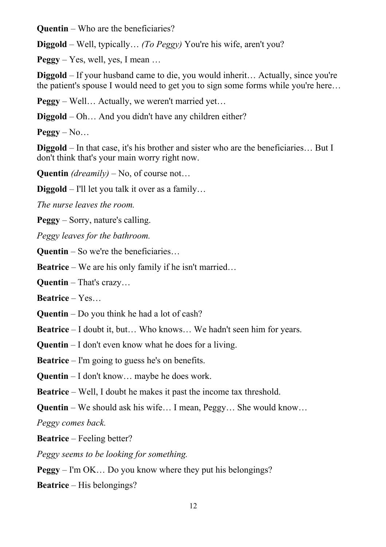**Quentin** – Who are the beneficiaries?

**Diggold** – Well, typically… *(To Peggy)* You're his wife, aren't you?

**Peggy** – Yes, well, yes, I mean …

**Diggold** – If your husband came to die, you would inherit... Actually, since you're the patient's spouse I would need to get you to sign some forms while you're here…

**Peggy** – Well… Actually, we weren't married yet…

**Diggold** – Oh... And you didn't have any children either?

**Peggy** – No…

**Diggold** – In that case, it's his brother and sister who are the beneficiaries... But I don't think that's your main worry right now.

**Quentin** *(dreamily)* – No, of course not…

**Diggold** – I'll let you talk it over as a family...

*The nurse leaves the room.*

**Peggy** – Sorry, nature's calling.

*Peggy leaves for the bathroom.*

**Quentin** – So we're the beneficiaries…

**Beatrice** – We are his only family if he isn't married...

**Quentin** – That's crazy…

**Beatrice** – Yes…

**Quentin** – Do you think he had a lot of cash?

**Beatrice** – I doubt it, but… Who knows… We hadn't seen him for years.

**Quentin** – I don't even know what he does for a living.

**Beatrice** – I'm going to guess he's on benefits.

**Quentin** – I don't know… maybe he does work.

**Beatrice** – Well, I doubt he makes it past the income tax threshold.

**Quentin** – We should ask his wife... I mean, Peggy... She would know...

*Peggy comes back.*

**Beatrice** – Feeling better?

*Peggy seems to be looking for something.*

**Peggy** – I'm OK… Do you know where they put his belongings?

**Beatrice** – His belongings?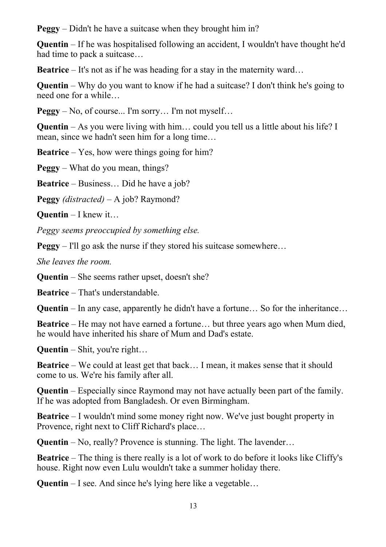**Peggy** – Didn't he have a suitcase when they brought him in?

**Quentin** – If he was hospitalised following an accident, I wouldn't have thought he'd had time to pack a suitcase…

**Beatrice** – It's not as if he was heading for a stay in the maternity ward…

**Quentin** – Why do you want to know if he had a suitcase? I don't think he's going to need one for a while…

**Peggy** – No, of course... I'm sorry… I'm not myself…

**Quentin** – As you were living with him... could you tell us a little about his life? I mean, since we hadn't seen him for a long time…

**Beatrice** – Yes, how were things going for him?

**Peggy** – What do you mean, things?

**Beatrice** – Business… Did he have a job?

**Peggy** *(distracted)* – A job? Raymond?

**Quentin** – I knew it…

*Peggy seems preoccupied by something else.*

**Peggy** – I'll go ask the nurse if they stored his suitcase somewhere...

*She leaves the room.*

**Quentin** – She seems rather upset, doesn't she?

**Beatrice** – That's understandable.

**Quentin** – In any case, apparently he didn't have a fortune... So for the inheritance...

**Beatrice** – He may not have earned a fortune… but three years ago when Mum died, he would have inherited his share of Mum and Dad's estate.

**Quentin** – Shit, you're right…

**Beatrice** – We could at least get that back… I mean, it makes sense that it should come to us. We're his family after all.

**Quentin** – Especially since Raymond may not have actually been part of the family. If he was adopted from Bangladesh. Or even Birmingham.

**Beatrice** – I wouldn't mind some money right now. We've just bought property in Provence, right next to Cliff Richard's place…

**Quentin** – No, really? Provence is stunning. The light. The lavender...

**Beatrice** – The thing is there really is a lot of work to do before it looks like Cliffy's house. Right now even Lulu wouldn't take a summer holiday there.

**Quentin** – I see. And since he's lying here like a vegetable...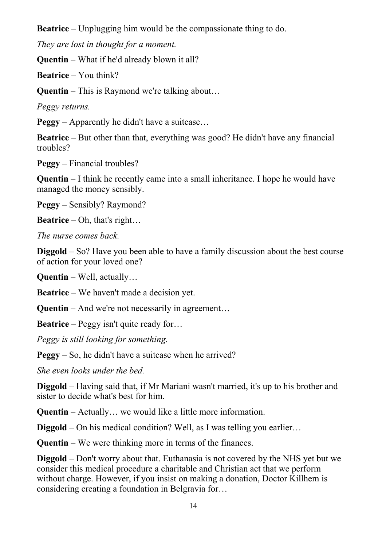**Beatrice** – Unplugging him would be the compassionate thing to do.

*They are lost in thought for a moment.*

**Quentin** – What if he'd already blown it all?

**Beatrice** – You think?

**Quentin** – This is Raymond we're talking about...

*Peggy returns.*

**Peggy** – Apparently he didn't have a suitcase…

**Beatrice** – But other than that, everything was good? He didn't have any financial troubles?

**Peggy** – Financial troubles?

**Quentin** – I think he recently came into a small inheritance. I hope he would have managed the money sensibly.

**Peggy** – Sensibly? Raymond?

**Beatrice** – Oh, that's right…

*The nurse comes back.*

**Diggold** – So? Have you been able to have a family discussion about the best course of action for your loved one?

**Quentin** – Well, actually…

**Beatrice** – We haven't made a decision yet.

**Quentin** – And we're not necessarily in agreement...

**Beatrice** – Peggy isn't quite ready for...

*Peggy is still looking for something.*

**Peggy** – So, he didn't have a suitcase when he arrived?

*She even looks under the bed.*

**Diggold** – Having said that, if Mr Mariani wasn't married, it's up to his brother and sister to decide what's best for him.

**Quentin** – Actually… we would like a little more information.

**Diggold** – On his medical condition? Well, as I was telling you earlier...

**Quentin** – We were thinking more in terms of the finances.

**Diggold** – Don't worry about that. Euthanasia is not covered by the NHS yet but we consider this medical procedure a charitable and Christian act that we perform without charge. However, if you insist on making a donation, Doctor Killhem is considering creating a foundation in Belgravia for…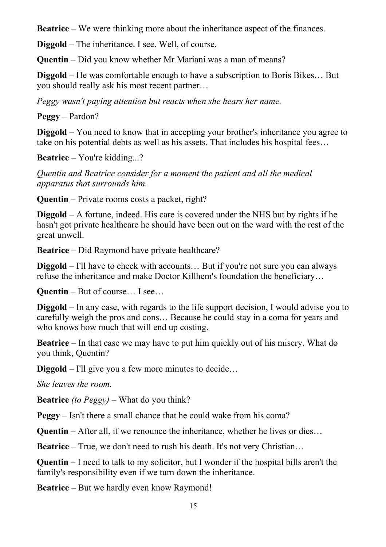**Beatrice** – We were thinking more about the inheritance aspect of the finances.

**Diggold** – The inheritance. I see. Well, of course.

**Quentin** – Did you know whether Mr Mariani was a man of means?

**Diggold** – He was comfortable enough to have a subscription to Boris Bikes… But you should really ask his most recent partner…

*Peggy wasn't paying attention but reacts when she hears her name.*

**Peggy** – Pardon?

**Diggold** – You need to know that in accepting your brother's inheritance you agree to take on his potential debts as well as his assets. That includes his hospital fees…

**Beatrice** – You're kidding...?

*Quentin and Beatrice consider for a moment the patient and all the medical apparatus that surrounds him.*

**Quentin** – Private rooms costs a packet, right?

**Diggold** – A fortune, indeed. His care is covered under the NHS but by rights if he hasn't got private healthcare he should have been out on the ward with the rest of the great unwell.

**Beatrice** – Did Raymond have private healthcare?

**Diggold** – I'll have to check with accounts... But if you're not sure you can always refuse the inheritance and make Doctor Killhem's foundation the beneficiary…

**Quentin** – But of course… I see…

**Diggold** – In any case, with regards to the life support decision, I would advise you to carefully weigh the pros and cons… Because he could stay in a coma for years and who knows how much that will end up costing.

**Beatrice** – In that case we may have to put him quickly out of his misery. What do you think, Quentin?

**Diggold** – I'll give you a few more minutes to decide...

*She leaves the room.*

**Beatrice** *(to Peggy)* – What do you think?

**Peggy** – Isn't there a small chance that he could wake from his coma?

**Quentin** – After all, if we renounce the inheritance, whether he lives or dies...

**Beatrice** – True, we don't need to rush his death. It's not very Christian...

**Quentin** – I need to talk to my solicitor, but I wonder if the hospital bills aren't the family's responsibility even if we turn down the inheritance.

**Beatrice** – But we hardly even know Raymond!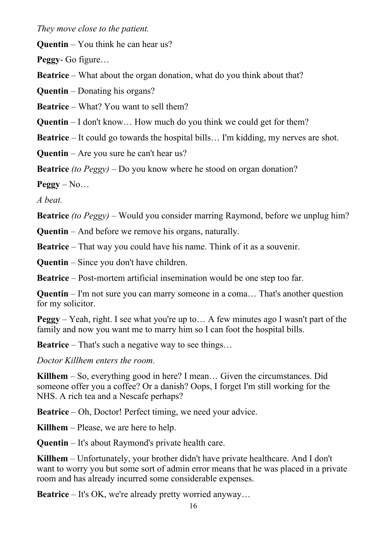*They move close to the patient.*

**Quentin** – You think he can hear us?

**Peggy**- Go figure…

**Beatrice** – What about the organ donation, what do you think about that?

**Quentin** – Donating his organs?

**Beatrice** – What? You want to sell them?

**Quentin** – I don't know... How much do you think we could get for them?

**Beatrice** – It could go towards the hospital bills… I'm kidding, my nerves are shot.

**Quentin** – Are you sure he can't hear us?

**Beatrice** *(to Peggy)* – Do you know where he stood on organ donation?

**Peggy** – No…

*A beat.*

**Beatrice** *(to Peggy)* – Would you consider marring Raymond, before we unplug him?

**Quentin** – And before we remove his organs, naturally.

**Beatrice** – That way you could have his name. Think of it as a souvenir.

**Quentin** – Since you don't have children.

**Beatrice** – Post-mortem artificial insemination would be one step too far.

**Quentin** – I'm not sure you can marry someone in a coma... That's another question for my solicitor.

**Peggy** – Yeah, right. I see what you're up to... A few minutes ago I wasn't part of the family and now you want me to marry him so I can foot the hospital bills.

**Beatrice** – That's such a negative way to see things...

*Doctor Killhem enters the room.*

**Killhem** – So, everything good in here? I mean… Given the circumstances. Did someone offer you a coffee? Or a danish? Oops, I forget I'm still working for the NHS. A rich tea and a Nescafe perhaps?

**Beatrice** – Oh, Doctor! Perfect timing, we need your advice.

**Killhem** – Please, we are here to help.

**Quentin** – It's about Raymond's private health care.

**Killhem** – Unfortunately, your brother didn't have private healthcare. And I don't want to worry you but some sort of admin error means that he was placed in a private room and has already incurred some considerable expenses.

**Beatrice** – It's OK, we're already pretty worried anyway...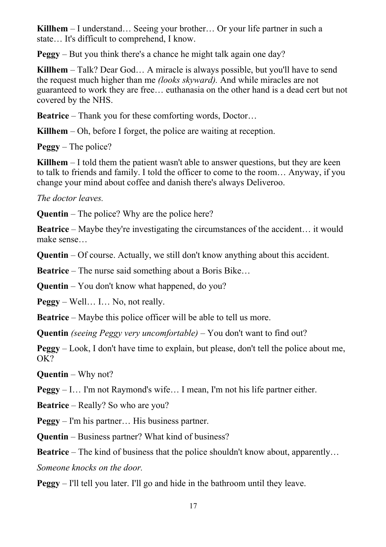**Killhem** – I understand… Seeing your brother… Or your life partner in such a state… It's difficult to comprehend, I know.

**Peggy** – But you think there's a chance he might talk again one day?

**Killhem** – Talk? Dear God… A miracle is always possible, but you'll have to send the request much higher than me *(looks skyward).* And while miracles are not guaranteed to work they are free… euthanasia on the other hand is a dead cert but not covered by the NHS.

**Beatrice** – Thank you for these comforting words, Doctor...

**Killhem** – Oh, before I forget, the police are waiting at reception.

**Peggy** – The police?

**Killhem** – I told them the patient wasn't able to answer questions, but they are keen to talk to friends and family. I told the officer to come to the room… Anyway, if you change your mind about coffee and danish there's always Deliveroo.

*The doctor leaves.*

**Quentin** – The police? Why are the police here?

**Beatrice** – Maybe they're investigating the circumstances of the accident... it would make sense…

**Quentin** – Of course. Actually, we still don't know anything about this accident.

**Beatrice** – The nurse said something about a Boris Bike...

**Quentin** – You don't know what happened, do you?

**Peggy** – Well… I… No, not really.

**Beatrice** – Maybe this police officer will be able to tell us more.

**Quentin** *(seeing Peggy very uncomfortable)* – You don't want to find out?

**Peggy** – Look, I don't have time to explain, but please, don't tell the police about me, OK?

**Quentin** – Why not?

**Peggy** – I… I'm not Raymond's wife… I mean, I'm not his life partner either.

**Beatrice** – Really? So who are you?

**Peggy** – I'm his partner… His business partner.

**Quentin** – Business partner? What kind of business?

**Beatrice** – The kind of business that the police shouldn't know about, apparently…

*Someone knocks on the door.*

**Peggy** – I'll tell you later. I'll go and hide in the bathroom until they leave.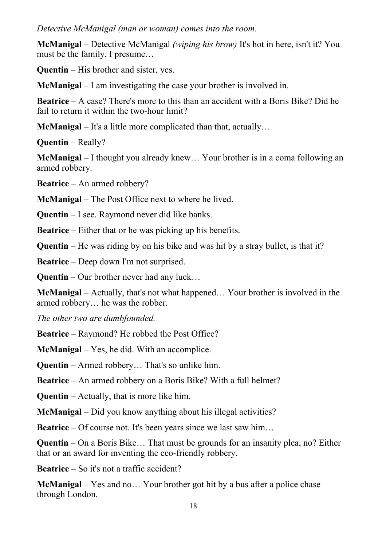*Detective McManigal (man or woman) comes into the room.*

**McManigal** – Detective McManigal *(wiping his brow)* It's hot in here, isn't it? You must be the family, I presume…

**Quentin** – His brother and sister, yes.

**McManigal** – I am investigating the case your brother is involved in.

**Beatrice** – A case? There's more to this than an accident with a Boris Bike? Did he fail to return it within the two-hour limit?

**McManigal** – It's a little more complicated than that, actually…

**Quentin** – Really?

**McManigal** – I thought you already knew… Your brother is in a coma following an armed robbery.

**Beatrice** – An armed robbery?

**McManigal** – The Post Office next to where he lived.

**Quentin** – I see. Raymond never did like banks.

**Beatrice** – Either that or he was picking up his benefits.

**Quentin** – He was riding by on his bike and was hit by a stray bullet, is that it?

**Beatrice** – Deep down I'm not surprised.

**Quentin** – Our brother never had any luck…

**McManigal** – Actually, that's not what happened… Your brother is involved in the armed robbery… he was the robber.

*The other two are dumbfounded.*

**Beatrice** – Raymond? He robbed the Post Office?

**McManigal** – Yes, he did. With an accomplice.

**Quentin** – Armed robbery… That's so unlike him.

**Beatrice** – An armed robbery on a Boris Bike? With a full helmet?

**Quentin** – Actually, that is more like him.

**McManigal** – Did you know anything about his illegal activities?

**Beatrice** – Of course not. It's been years since we last saw him...

**Quentin** – On a Boris Bike… That must be grounds for an insanity plea, no? Either that or an award for inventing the eco-friendly robbery.

**Beatrice** – So it's not a traffic accident?

**McManigal** – Yes and no… Your brother got hit by a bus after a police chase through London.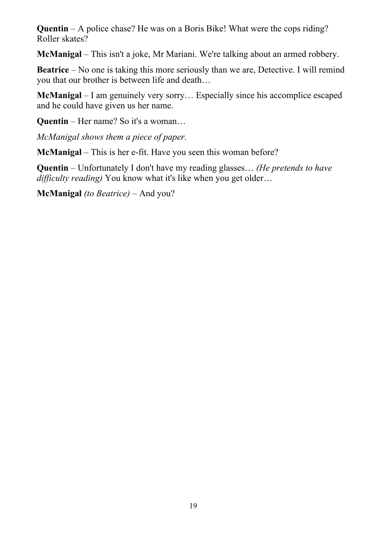**Quentin** – A police chase? He was on a Boris Bike! What were the cops riding? Roller skates?

**McManigal** – This isn't a joke, Mr Mariani. We're talking about an armed robbery.

**Beatrice** – No one is taking this more seriously than we are, Detective. I will remind you that our brother is between life and death…

**McManigal** – I am genuinely very sorry… Especially since his accomplice escaped and he could have given us her name.

**Quentin** – Her name? So it's a woman…

*McManigal shows them a piece of paper.*

**McManigal** – This is her e-fit. Have you seen this woman before?

**Quentin** – Unfortunately I don't have my reading glasses… *(He pretends to have difficulty reading)* You know what it's like when you get older…

**McManigal** *(to Beatrice)* – And you?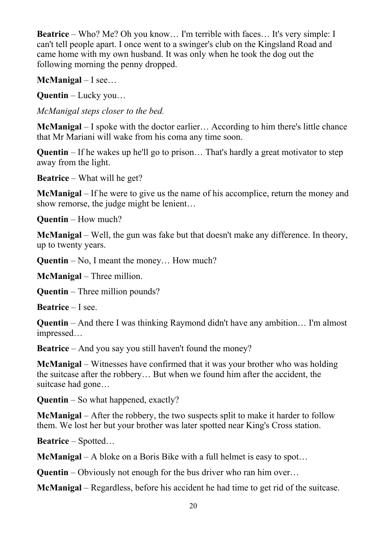**Beatrice** – Who? Me? Oh you know... I'm terrible with faces... It's very simple: I can't tell people apart. I once went to a swinger's club on the Kingsland Road and came home with my own husband. It was only when he took the dog out the following morning the penny dropped.

**McManigal** – I see…

**Quentin** – Lucky you…

*McManigal steps closer to the bed.*

**McManigal** – I spoke with the doctor earlier… According to him there's little chance that Mr Mariani will wake from his coma any time soon.

**Quentin** – If he wakes up he'll go to prison... That's hardly a great motivator to step away from the light.

**Beatrice** – What will he get?

**McManigal** – If he were to give us the name of his accomplice, return the money and show remorse, the judge might be lenient…

**Quentin** – How much?

**McManigal** – Well, the gun was fake but that doesn't make any difference. In theory, up to twenty years.

**Quentin** – No, I meant the money... How much?

**McManigal** – Three million.

**Quentin** – Three million pounds?

**Beatrice** – I see.

**Quentin** – And there I was thinking Raymond didn't have any ambition… I'm almost impressed…

**Beatrice** – And you say you still haven't found the money?

**McManigal** – Witnesses have confirmed that it was your brother who was holding the suitcase after the robbery… But when we found him after the accident, the suitcase had gone…

**Quentin** – So what happened, exactly?

**McManigal** – After the robbery, the two suspects split to make it harder to follow them. We lost her but your brother was later spotted near King's Cross station.

**Beatrice** – Spotted…

**McManigal** – A bloke on a Boris Bike with a full helmet is easy to spot…

**Quentin** – Obviously not enough for the bus driver who ran him over...

**McManigal** – Regardless, before his accident he had time to get rid of the suitcase.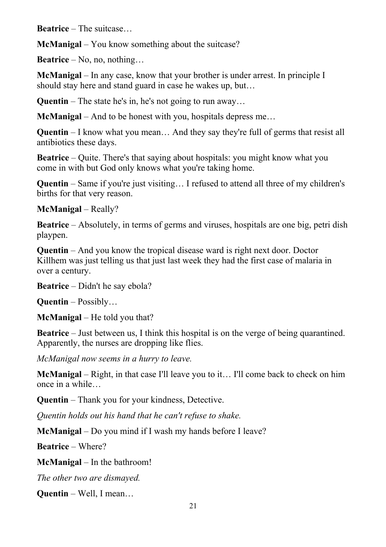**Beatrice** – The suitcase…

**McManigal** – You know something about the suitcase?

**Beatrice** – No, no, nothing…

**McManigal** – In any case, know that your brother is under arrest. In principle I should stay here and stand guard in case he wakes up, but…

**Quentin** – The state he's in, he's not going to run away...

**McManigal** – And to be honest with you, hospitals depress me…

**Quentin** – I know what you mean... And they say they're full of germs that resist all antibiotics these days.

**Beatrice** – Quite. There's that saying about hospitals: you might know what you come in with but God only knows what you're taking home.

**Quentin** – Same if you're just visiting... I refused to attend all three of my children's births for that very reason.

**McManigal** – Really?

**Beatrice** – Absolutely, in terms of germs and viruses, hospitals are one big, petri dish playpen.

**Quentin** – And you know the tropical disease ward is right next door. Doctor Killhem was just telling us that just last week they had the first case of malaria in over a century.

**Beatrice** – Didn't he say ebola?

**Quentin** – Possibly…

**McManigal** – He told you that?

**Beatrice** – Just between us, I think this hospital is on the verge of being quarantined. Apparently, the nurses are dropping like flies.

*McManigal now seems in a hurry to leave.*

**McManigal** – Right, in that case I'll leave you to it… I'll come back to check on him once in a while…

**Quentin** – Thank you for your kindness, Detective.

*Quentin holds out his hand that he can't refuse to shake.*

**McManigal** – Do you mind if I wash my hands before I leave?

**Beatrice** – Where?

**McManigal** – In the bathroom!

*The other two are dismayed.*

**Quentin** – Well, I mean…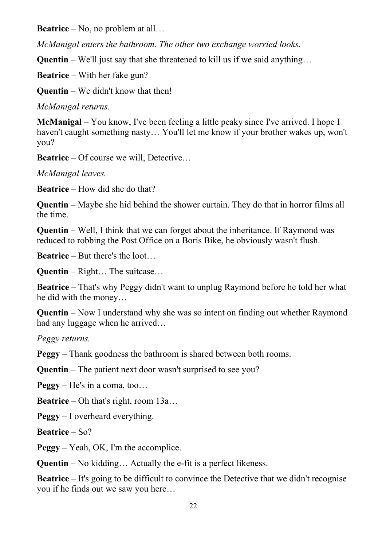**Beatrice** – No, no problem at all...

*McManigal enters the bathroom. The other two exchange worried looks.*

**Quentin** – We'll just say that she threatened to kill us if we said anything...

**Beatrice** – With her fake gun?

**Quentin** – We didn't know that then!

*McManigal returns.*

**McManigal** – You know, I've been feeling a little peaky since I've arrived. I hope I haven't caught something nasty... You'll let me know if your brother wakes up, won't you?

**Beatrice** – Of course we will, Detective...

*McManigal leaves.*

**Beatrice** – How did she do that?

**Quentin** – Maybe she hid behind the shower curtain. They do that in horror films all the time.

**Quentin** – Well, I think that we can forget about the inheritance. If Raymond was reduced to robbing the Post Office on a Boris Bike, he obviously wasn't flush.

**Beatrice** – But there's the loot…

**Quentin** – Right… The suitcase…

**Beatrice** – That's why Peggy didn't want to unplug Raymond before he told her what he did with the money…

**Quentin** – Now I understand why she was so intent on finding out whether Raymond had any luggage when he arrived…

*Peggy returns.*

**Peggy** – Thank goodness the bathroom is shared between both rooms.

**Quentin** – The patient next door wasn't surprised to see you?

**Peggy** – He's in a coma, too…

**Beatrice** – Oh that's right, room 13a…

**Peggy** – I overheard everything.

**Beatrice** – So?

**Peggy** – Yeah, OK, I'm the accomplice.

**Quentin** – No kidding... Actually the e-fit is a perfect likeness.

**Beatrice** – It's going to be difficult to convince the Detective that we didn't recognise you if he finds out we saw you here…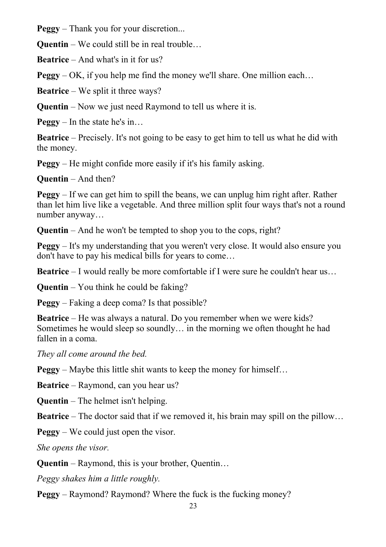**Peggy** – Thank you for your discretion...

**Quentin** – We could still be in real trouble…

**Beatrice** – And what's in it for us?

**Peggy** – OK, if you help me find the money we'll share. One million each...

**Beatrice** – We split it three ways?

**Quentin** – Now we just need Raymond to tell us where it is.

**Peggy** – In the state he's in…

**Beatrice** – Precisely. It's not going to be easy to get him to tell us what he did with the money.

**Peggy** – He might confide more easily if it's his family asking.

**Quentin** – And then?

**Peggy** – If we can get him to spill the beans, we can unplug him right after. Rather than let him live like a vegetable. And three million split four ways that's not a round number anyway…

**Quentin** – And he won't be tempted to shop you to the cops, right?

**Peggy** – It's my understanding that you weren't very close. It would also ensure you don't have to pay his medical bills for years to come…

**Beatrice** – I would really be more comfortable if I were sure he couldn't hear us...

**Quentin** – You think he could be faking?

**Peggy** – Faking a deep coma? Is that possible?

**Beatrice** – He was always a natural. Do you remember when we were kids? Sometimes he would sleep so soundly… in the morning we often thought he had fallen in a coma.

*They all come around the bed.*

**Peggy** – Maybe this little shit wants to keep the money for himself...

**Beatrice** – Raymond, can you hear us?

**Quentin** – The helmet isn't helping.

**Beatrice** – The doctor said that if we removed it, his brain may spill on the pillow...

**Peggy** – We could just open the visor.

*She opens the visor.*

**Quentin** – Raymond, this is your brother, Quentin…

*Peggy shakes him a little roughly.*

**Peggy** – Raymond? Raymond? Where the fuck is the fucking money?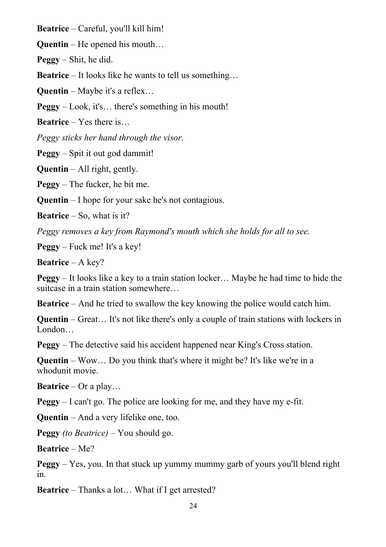**Beatrice** – Careful, you'll kill him!

**Quentin** – He opened his mouth…

**Peggy** – Shit, he did.

**Beatrice** – It looks like he wants to tell us something…

**Quentin** – Maybe it's a reflex…

**Peggy** – Look, it's… there's something in his mouth!

**Beatrice** – Yes there is…

*Peggy sticks her hand through the visor.*

**Peggy** – Spit it out god dammit!

**Quentin** – All right, gently.

**Peggy** – The fucker, he bit me.

**Quentin** – I hope for your sake he's not contagious.

**Beatrice** – So, what is it?

*Peggy removes a key from Raymond's mouth which she holds for all to see.*

**Peggy** – Fuck me! It's a key!

**Beatrice** – A key?

**Peggy** – It looks like a key to a train station locker… Maybe he had time to hide the suitcase in a train station somewhere…

**Beatrice** – And he tried to swallow the key knowing the police would catch him.

**Quentin** – Great... It's not like there's only a couple of train stations with lockers in London…

**Peggy** – The detective said his accident happened near King's Cross station.

**Quentin** – Wow… Do you think that's where it might be? It's like we're in a whodunit movie.

**Beatrice** – Or a play…

**Peggy** – I can't go. The police are looking for me, and they have my e-fit.

**Quentin** – And a very lifelike one, too.

**Peggy** *(to Beatrice)* – You should go.

**Beatrice** – Me?

**Peggy** – Yes, you. In that stuck up yummy mummy garb of yours you'll blend right in.

**Beatrice** – Thanks a lot... What if I get arrested?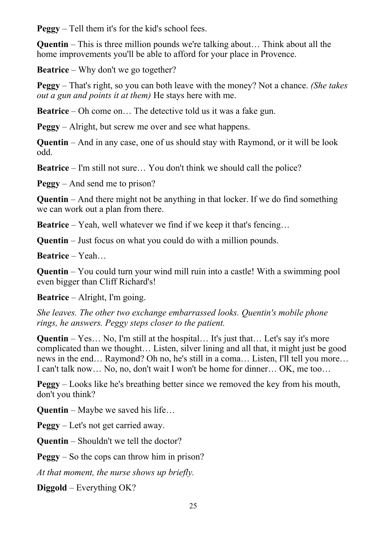**Peggy** – Tell them it's for the kid's school fees.

**Quentin** – This is three million pounds we're talking about... Think about all the home improvements you'll be able to afford for your place in Provence.

**Beatrice** – Why don't we go together?

**Peggy** – That's right, so you can both leave with the money? Not a chance. *(She takes out a gun and points it at them)* He stays here with me.

**Beatrice** – Oh come on… The detective told us it was a fake gun.

**Peggy** – Alright, but screw me over and see what happens.

**Quentin** – And in any case, one of us should stay with Raymond, or it will be look odd.

**Beatrice** – I'm still not sure... You don't think we should call the police?

**Peggy** – And send me to prison?

**Quentin** – And there might not be anything in that locker. If we do find something we can work out a plan from there.

**Beatrice** – Yeah, well whatever we find if we keep it that's fencing...

**Quentin** – Just focus on what you could do with a million pounds.

**Beatrice** – Yeah…

**Quentin** – You could turn your wind mill ruin into a castle! With a swimming pool even bigger than Cliff Richard's!

**Beatrice** – Alright, I'm going.

*She leaves. The other two exchange embarrassed looks. Quentin's mobile phone rings, he answers. Peggy steps closer to the patient.*

**Quentin** – Yes... No, I'm still at the hospital... It's just that... Let's say it's more complicated than we thought… Listen, silver lining and all that, it might just be good news in the end… Raymond? Oh no, he's still in a coma… Listen, I'll tell you more… I can't talk now… No, no, don't wait I won't be home for dinner… OK, me too…

**Peggy** – Looks like he's breathing better since we removed the key from his mouth, don't you think?

**Quentin** – Maybe we saved his life…

**Peggy** – Let's not get carried away.

**Quentin** – Shouldn't we tell the doctor?

**Peggy** – So the cops can throw him in prison?

*At that moment, the nurse shows up briefly.*

**Diggold** – Everything OK?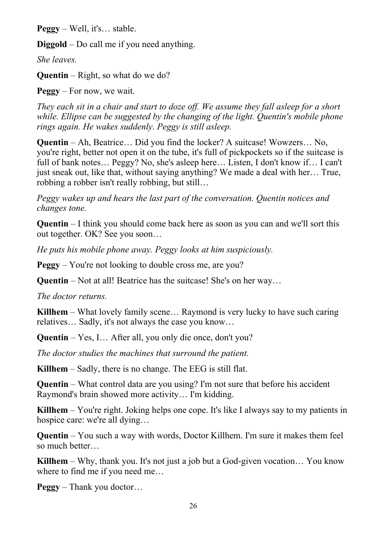**Peggy** – Well, it's… stable.

**Diggold** – Do call me if you need anything.

*She leaves.*

**Quentin** – Right, so what do we do?

**Peggy** – For now, we wait.

*They each sit in a chair and start to doze off. We assume they fall asleep for a short while. Ellipse can be suggested by the changing of the light. Quentin's mobile phone rings again. He wakes suddenly. Peggy is still asleep.*

**Quentin** – Ah, Beatrice... Did you find the locker? A suitcase! Wowzers... No, you're right, better not open it on the tube, it's full of pickpockets so if the suitcase is full of bank notes… Peggy? No, she's asleep here… Listen, I don't know if… I can't just sneak out, like that, without saying anything? We made a deal with her… True, robbing a robber isn't really robbing, but still…

*Peggy wakes up and hears the last part of the conversation. Quentin notices and changes tone.*

**Quentin** – I think you should come back here as soon as you can and we'll sort this out together. OK? See you soon…

*He puts his mobile phone away. Peggy looks at him suspiciously.*

**Peggy** – You're not looking to double cross me, are you?

**Quentin** – Not at all! Beatrice has the suitcase! She's on her way...

*The doctor returns.*

**Killhem** – What lovely family scene… Raymond is very lucky to have such caring relatives… Sadly, it's not always the case you know…

**Quentin** – Yes, I… After all, you only die once, don't you?

*The doctor studies the machines that surround the patient.*

**Killhem** – Sadly, there is no change. The EEG is still flat.

**Quentin** – What control data are you using? I'm not sure that before his accident Raymond's brain showed more activity… I'm kidding.

**Killhem** – You're right. Joking helps one cope. It's like I always say to my patients in hospice care: we're all dying...

**Quentin** – You such a way with words, Doctor Killhem. I'm sure it makes them feel so much better…

**Killhem** – Why, thank you. It's not just a job but a God-given vocation… You know where to find me if you need me…

**Peggy** – Thank you doctor…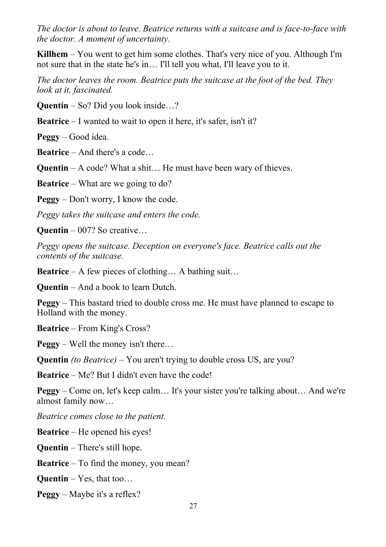*The doctor is about to leave. Beatrice returns with a suitcase and is face-to-face with the doctor. A moment of uncertainty.*

**Killhem** – You went to get him some clothes. That's very nice of you. Although I'm not sure that in the state he's in… I'll tell you what, I'll leave you to it.

*The doctor leaves the room. Beatrice puts the suitcase at the foot of the bed. They look at it, fascinated.*

**Quentin** – So? Did you look inside…?

**Beatrice** – I wanted to wait to open it here, it's safer, isn't it?

**Peggy** – Good idea.

**Beatrice** – And there's a code…

**Quentin** – A code? What a shit... He must have been wary of thieves.

**Beatrice** – What are we going to do?

**Peggy** – Don't worry, I know the code.

*Peggy takes the suitcase and enters the code.*

**Quentin** – 007? So creative...

*Peggy opens the suitcase. Deception on everyone's face. Beatrice calls out the contents of the suitcase.*

**Beatrice** – A few pieces of clothing... A bathing suit...

**Quentin** – And a book to learn Dutch.

**Peggy** – This bastard tried to double cross me. He must have planned to escape to Holland with the money.

**Beatrice** – From King's Cross?

**Peggy** – Well the money isn't there…

**Quentin** *(to Beatrice)* – You aren't trying to double cross US, are you?

**Beatrice** – Me? But I didn't even have the code!

**Peggy** – Come on, let's keep calm… It's your sister you're talking about… And we're almost family now…

*Beatrice comes close to the patient.*

**Beatrice** – He opened his eyes!

**Quentin** – There's still hope.

**Beatrice** – To find the money, you mean?

**Quentin** – Yes, that too…

**Peggy** – Maybe it's a reflex?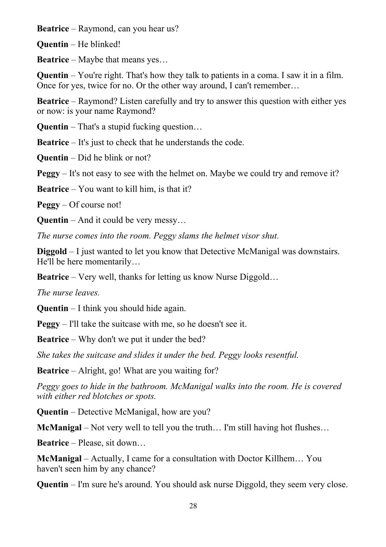**Beatrice** – Raymond, can you hear us?

**Quentin** – He blinked!

**Beatrice** – Maybe that means yes…

**Quentin** – You're right. That's how they talk to patients in a coma. I saw it in a film. Once for yes, twice for no. Or the other way around, I can't remember…

**Beatrice** – Raymond? Listen carefully and try to answer this question with either yes or now: is your name Raymond?

**Quentin** – That's a stupid fucking question…

**Beatrice** – It's just to check that he understands the code.

**Quentin** – Did he blink or not?

**Peggy** – It's not easy to see with the helmet on. Maybe we could try and remove it?

**Beatrice** – You want to kill him, is that it?

**Peggy** – Of course not!

**Quentin** – And it could be very messy...

*The nurse comes into the room. Peggy slams the helmet visor shut.*

**Diggold** – I just wanted to let you know that Detective McManigal was downstairs. He'll be here momentarily…

**Beatrice** – Very well, thanks for letting us know Nurse Diggold...

*The nurse leaves.*

**Quentin** – I think you should hide again.

**Peggy** – I'll take the suitcase with me, so he doesn't see it.

**Beatrice** – Why don't we put it under the bed?

*She takes the suitcase and slides it under the bed. Peggy looks resentful.*

**Beatrice** – Alright, go! What are you waiting for?

*Peggy goes to hide in the bathroom. McManigal walks into the room. He is covered with either red blotches or spots.*

**Quentin** – Detective McManigal, how are you?

**McManigal** – Not very well to tell you the truth… I'm still having hot flushes…

**Beatrice** – Please, sit down…

**McManigal** – Actually, I came for a consultation with Doctor Killhem… You haven't seen him by any chance?

**Quentin** – I'm sure he's around. You should ask nurse Diggold, they seem very close.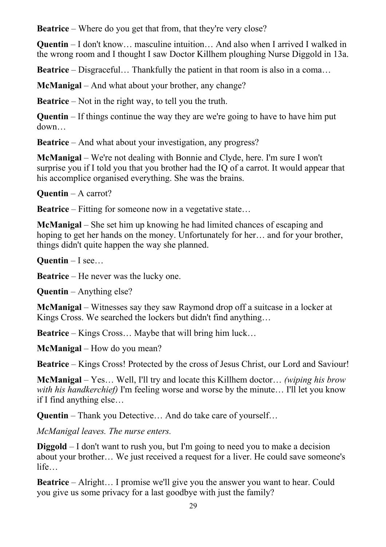**Beatrice** – Where do you get that from, that they're very close?

**Quentin** – I don't know… masculine intuition… And also when I arrived I walked in the wrong room and I thought I saw Doctor Killhem ploughing Nurse Diggold in 13a.

**Beatrice** – Disgraceful… Thankfully the patient in that room is also in a coma...

**McManigal** – And what about your brother, any change?

**Beatrice** – Not in the right way, to tell you the truth.

**Quentin** – If things continue the way they are we're going to have to have him put down…

**Beatrice** – And what about your investigation, any progress?

**McManigal** – We're not dealing with Bonnie and Clyde, here. I'm sure I won't surprise you if I told you that you brother had the IQ of a carrot. It would appear that his accomplice organised everything. She was the brains.

**Quentin** – A carrot?

**Beatrice** – Fitting for someone now in a vegetative state...

**McManigal** – She set him up knowing he had limited chances of escaping and hoping to get her hands on the money. Unfortunately for her… and for your brother, things didn't quite happen the way she planned.

**Quentin** – I see…

**Beatrice** – He never was the lucky one.

**Quentin** – Anything else?

**McManigal** – Witnesses say they saw Raymond drop off a suitcase in a locker at Kings Cross. We searched the lockers but didn't find anything...

**Beatrice** – Kings Cross… Maybe that will bring him luck…

**McManigal** – How do you mean?

**Beatrice** – Kings Cross! Protected by the cross of Jesus Christ, our Lord and Saviour!

**McManigal** – Yes… Well, I'll try and locate this Killhem doctor… *(wiping his brow with his handkerchief)* I'm feeling worse and worse by the minute… I'll let you know if I find anything else…

**Quentin** – Thank you Detective... And do take care of yourself...

*McManigal leaves. The nurse enters.*

**Diggold** – I don't want to rush you, but I'm going to need you to make a decision about your brother… We just received a request for a liver. He could save someone's life…

**Beatrice** – Alright... I promise we'll give you the answer you want to hear. Could you give us some privacy for a last goodbye with just the family?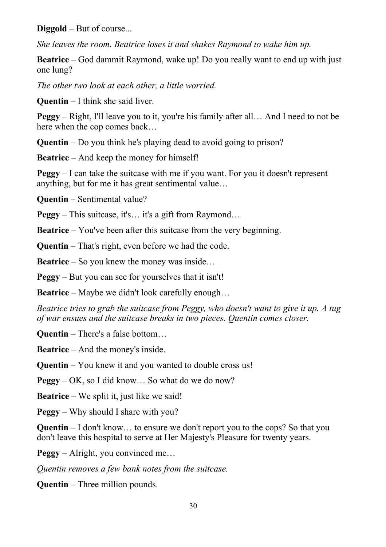**Diggold** – But of course...

*She leaves the room. Beatrice loses it and shakes Raymond to wake him up.*

**Beatrice** – God dammit Raymond, wake up! Do you really want to end up with just one lung?

*The other two look at each other, a little worried.*

**Quentin** – I think she said liver.

**Peggy** – Right, I'll leave you to it, you're his family after all… And I need to not be here when the cop comes back…

**Quentin** – Do you think he's playing dead to avoid going to prison?

**Beatrice** – And keep the money for himself!

**Peggy** – I can take the suitcase with me if you want. For you it doesn't represent anything, but for me it has great sentimental value…

**Quentin** – Sentimental value?

**Peggy** – This suitcase, it's… it's a gift from Raymond…

**Beatrice** – You've been after this suitcase from the very beginning.

**Quentin** – That's right, even before we had the code.

**Beatrice** – So you knew the money was inside…

**Peggy** – But you can see for yourselves that it isn't!

**Beatrice** – Maybe we didn't look carefully enough…

*Beatrice tries to grab the suitcase from Peggy, who doesn't want to give it up. A tug of war ensues and the suitcase breaks in two pieces. Quentin comes closer.*

**Quentin** – There's a false bottom…

**Beatrice** – And the money's inside.

**Quentin** – You knew it and you wanted to double cross us!

**Peggy** – OK, so I did know… So what do we do now?

**Beatrice** – We split it, just like we said!

**Peggy** – Why should I share with you?

**Quentin** – I don't know... to ensure we don't report you to the cops? So that you don't leave this hospital to serve at Her Majesty's Pleasure for twenty years.

**Peggy** – Alright, you convinced me…

*Quentin removes a few bank notes from the suitcase.*

**Quentin** – Three million pounds.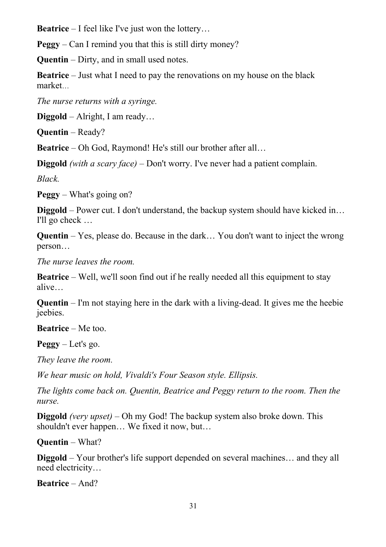**Beatrice** – I feel like I've just won the lottery...

**Peggy** – Can I remind you that this is still dirty money?

**Quentin** – Dirty, and in small used notes.

**Beatrice** – Just what I need to pay the renovations on my house on the black market…

*The nurse returns with a syringe.*

**Diggold** – Alright, I am ready…

**Quentin** – Ready?

**Beatrice** – Oh God, Raymond! He's still our brother after all…

**Diggold** *(with a scary face)* – Don't worry. I've never had a patient complain.

*Black.*

**Peggy** – What's going on?

**Diggold** – Power cut. I don't understand, the backup system should have kicked in... I'll go check …

**Quentin** – Yes, please do. Because in the dark… You don't want to inject the wrong person…

*The nurse leaves the room.*

**Beatrice** – Well, we'll soon find out if he really needed all this equipment to stay alive…

**Quentin** – I'm not staying here in the dark with a living-dead. It gives me the heebie jeebies.

**Beatrice** – Me too.

**Peggy** – Let's go.

*They leave the room.*

*We hear music on hold, Vivaldi's Four Season style. Ellipsis.*

*The lights come back on. Quentin, Beatrice and Peggy return to the room. Then the nurse.*

**Diggold** *(very upset)* – Oh my God! The backup system also broke down. This shouldn't ever happen… We fixed it now, but…

**Quentin** – What?

**Diggold** – Your brother's life support depended on several machines... and they all need electricity…

**Beatrice** – And?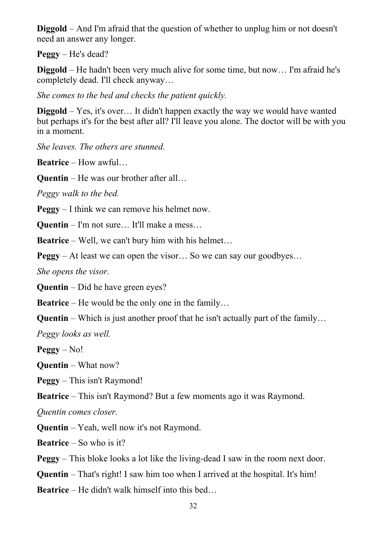**Diggold** – And I'm afraid that the question of whether to unplug him or not doesn't need an answer any longer.

**Peggy** – He's dead?

**Diggold** – He hadn't been very much alive for some time, but now… I'm afraid he's completely dead. I'll check anyway…

*She comes to the bed and checks the patient quickly.*

**Diggold** – Yes, it's over... It didn't happen exactly the way we would have wanted but perhaps it's for the best after all? I'll leave you alone. The doctor will be with you in a moment.

*She leaves. The others are stunned.*

**Beatrice** – How awful…

**Quentin** – He was our brother after all…

*Peggy walk to the bed.*

**Peggy** – I think we can remove his helmet now.

**Quentin** – I'm not sure... It'll make a mess...

**Beatrice** – Well, we can't bury him with his helmet…

**Peggy** – At least we can open the visor... So we can say our goodbyes...

*She opens the visor.*

**Quentin** – Did he have green eyes?

**Beatrice** – He would be the only one in the family…

**Quentin** – Which is just another proof that he isn't actually part of the family...

*Peggy looks as well.*

**Peggy** – No!

**Quentin** – What now?

**Peggy** – This isn't Raymond!

**Beatrice** – This isn't Raymond? But a few moments ago it was Raymond.

*Quentin comes closer.*

**Quentin** – Yeah, well now it's not Raymond.

**Beatrice** – So who is it?

**Peggy** – This bloke looks a lot like the living-dead I saw in the room next door.

**Quentin** – That's right! I saw him too when I arrived at the hospital. It's him!

**Beatrice** – He didn't walk himself into this bed…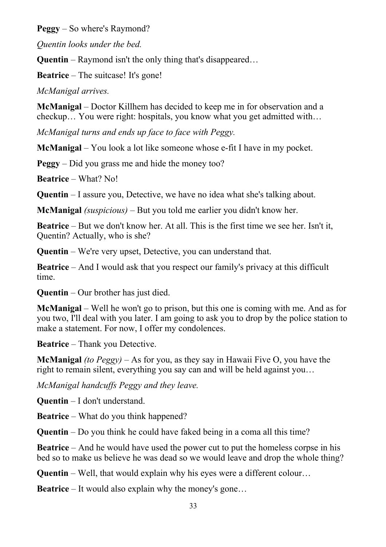**Peggy** – So where's Raymond?

*Quentin looks under the bed.*

**Quentin** – Raymond isn't the only thing that's disappeared...

**Beatrice** – The suitcase! It's gone!

*McManigal arrives.*

**McManigal** – Doctor Killhem has decided to keep me in for observation and a checkup… You were right: hospitals, you know what you get admitted with…

*McManigal turns and ends up face to face with Peggy.*

**McManigal** – You look a lot like someone whose e-fit I have in my pocket.

**Peggy** – Did you grass me and hide the money too?

**Beatrice** – What? No!

**Quentin** – I assure you, Detective, we have no idea what she's talking about.

**McManigal** *(suspicious)* – But you told me earlier you didn't know her.

**Beatrice** – But we don't know her. At all. This is the first time we see her. Isn't it, Quentin? Actually, who is she?

**Quentin** – We're very upset, Detective, you can understand that.

**Beatrice** – And I would ask that you respect our family's privacy at this difficult time.

**Quentin** – Our brother has just died.

**McManigal** – Well he won't go to prison, but this one is coming with me. And as for you two, I'll deal with you later. I am going to ask you to drop by the police station to make a statement. For now, I offer my condolences.

**Beatrice** – Thank you Detective.

**McManigal** *(to Peggy)* – As for you, as they say in Hawaii Five O, you have the right to remain silent, everything you say can and will be held against you…

*McManigal handcuffs Peggy and they leave.*

**Quentin** – I don't understand.

**Beatrice** – What do you think happened?

**Quentin** – Do you think he could have faked being in a coma all this time?

**Beatrice** – And he would have used the power cut to put the homeless corpse in his bed so to make us believe he was dead so we would leave and drop the whole thing?

**Quentin** – Well, that would explain why his eyes were a different colour…

**Beatrice** – It would also explain why the money's gone...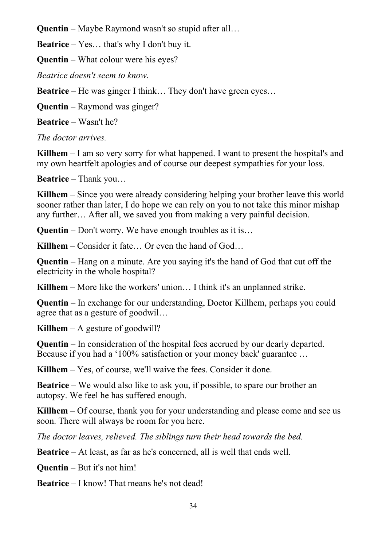**Quentin** – Maybe Raymond wasn't so stupid after all…

**Beatrice** – Yes… that's why I don't buy it.

**Quentin** – What colour were his eyes?

*Beatrice doesn't seem to know.*

**Beatrice** – He was ginger I think... They don't have green eyes...

**Quentin** – Raymond was ginger?

**Beatrice** – Wasn't he?

*The doctor arrives.*

**Killhem** – I am so very sorry for what happened. I want to present the hospital's and my own heartfelt apologies and of course our deepest sympathies for your loss.

**Beatrice** – Thank you…

**Killhem** – Since you were already considering helping your brother leave this world sooner rather than later, I do hope we can rely on you to not take this minor mishap any further… After all, we saved you from making a very painful decision.

**Quentin** – Don't worry. We have enough troubles as it is...

**Killhem** – Consider it fate **Or** even the hand of God

**Quentin** – Hang on a minute. Are you saying it's the hand of God that cut off the electricity in the whole hospital?

**Killhem** – More like the workers' union… I think it's an unplanned strike.

**Quentin** – In exchange for our understanding, Doctor Killhem, perhaps you could agree that as a gesture of goodwil…

**Killhem** – A gesture of goodwill?

**Quentin** – In consideration of the hospital fees accrued by our dearly departed. Because if you had a '100% satisfaction or your money back' guarantee …

**Killhem** – Yes, of course, we'll waive the fees. Consider it done.

**Beatrice** – We would also like to ask you, if possible, to spare our brother an autopsy. We feel he has suffered enough.

**Killhem** – Of course, thank you for your understanding and please come and see us soon. There will always be room for you here.

*The doctor leaves, relieved. The siblings turn their head towards the bed.*

**Beatrice** – At least, as far as he's concerned, all is well that ends well.

**Quentin** – But it's not him!

**Beatrice** – I know! That means he's not dead!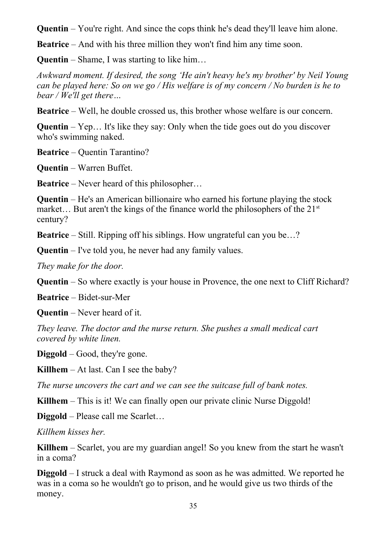**Quentin** – You're right. And since the cops think he's dead they'll leave him alone.

**Beatrice** – And with his three million they won't find him any time soon.

**Quentin** – Shame, I was starting to like him…

*Awkward moment. If desired, the song 'He ain't heavy he's my brother' by Neil Young can be played here: So on we go / His welfare is of my concern / No burden is he to bear / We'll get there…*

**Beatrice** – Well, he double crossed us, this brother whose welfare is our concern.

**Quentin** – Yep... It's like they say: Only when the tide goes out do you discover who's swimming naked.

**Beatrice** – Quentin Tarantino?

**Quentin** – Warren Buffet.

**Beatrice** – Never heard of this philosopher…

**Quentin** – He's an American billionaire who earned his fortune playing the stock market... But aren't the kings of the finance world the philosophers of the  $21^{st}$ century?

**Beatrice** – Still. Ripping off his siblings. How ungrateful can you be...?

**Quentin** – I've told you, he never had any family values.

*They make for the door.*

**Quentin** – So where exactly is your house in Provence, the one next to Cliff Richard?

**Beatrice** – Bidet-sur-Mer

**Quentin** – Never heard of it.

*They leave. The doctor and the nurse return. She pushes a small medical cart covered by white linen.*

**Diggold** – Good, they're gone.

**Killhem** – At last. Can I see the baby?

*The nurse uncovers the cart and we can see the suitcase full of bank notes.*

**Killhem** – This is it! We can finally open our private clinic Nurse Diggold!

**Diggold** – Please call me Scarlet…

*Killhem kisses her.*

**Killhem** – Scarlet, you are my guardian angel! So you knew from the start he wasn't in a coma?

**Diggold** – I struck a deal with Raymond as soon as he was admitted. We reported he was in a coma so he wouldn't go to prison, and he would give us two thirds of the money.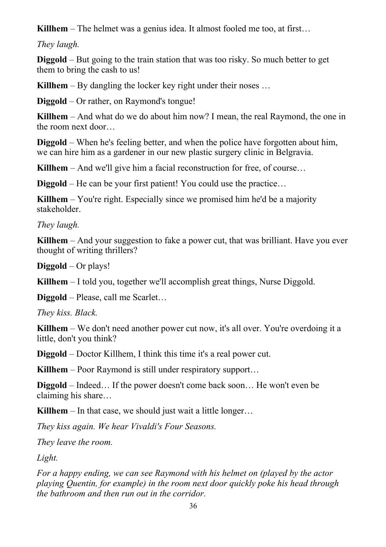**Killhem** – The helmet was a genius idea. It almost fooled me too, at first...

*They laugh.*

**Diggold** – But going to the train station that was too risky. So much better to get them to bring the cash to us!

**Killhem** – By dangling the locker key right under their noses ...

**Diggold** – Or rather, on Raymond's tongue!

**Killhem** – And what do we do about him now? I mean, the real Raymond, the one in the room next door…

**Diggold** – When he's feeling better, and when the police have forgotten about him, we can hire him as a gardener in our new plastic surgery clinic in Belgravia.

**Killhem** – And we'll give him a facial reconstruction for free, of course…

**Diggold** – He can be your first patient! You could use the practice...

**Killhem** – You're right. Especially since we promised him he'd be a majority stakeholder.

*They laugh.*

**Killhem** – And your suggestion to fake a power cut, that was brilliant. Have you ever thought of writing thrillers?

**Diggold** – Or plays!

**Killhem** – I told you, together we'll accomplish great things, Nurse Diggold.

**Diggold** – Please, call me Scarlet…

*They kiss. Black.*

**Killhem** – We don't need another power cut now, it's all over. You're overdoing it a little, don't you think?

**Diggold** – Doctor Killhem, I think this time it's a real power cut.

**Killhem** – Poor Raymond is still under respiratory support…

**Diggold** – Indeed... If the power doesn't come back soon... He won't even be claiming his share…

**Killhem** – In that case, we should just wait a little longer...

*They kiss again. We hear Vivaldi's Four Seasons.*

*They leave the room.*

*Light.*

*For a happy ending, we can see Raymond with his helmet on (played by the actor playing Quentin, for example) in the room next door quickly poke his head through the bathroom and then run out in the corridor.*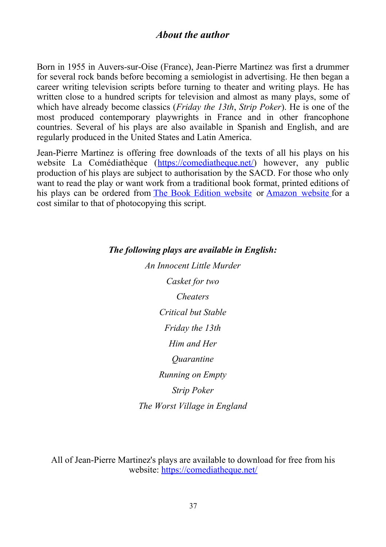### *About the author*

Born in 1955 in Auvers-sur-Oise (France), Jean-Pierre Martinez was first a drummer for several rock bands before becoming a semiologist in advertising. He then began a career writing television scripts before turning to theater and writing plays. He has written close to a hundred scripts for television and almost as many plays, some of which have already become classics (*Friday the 13th*, *Strip Poker*). He is one of the most produced contemporary playwrights in France and in other francophone countries. Several of his plays are also available in Spanish and English, and are regularly produced in the United States and Latin America.

Jean-Pierre Martinez is offering free downloads of the texts of all his plays on his website La Comédiathèque [\(https://comediatheque.net/\)](https://comediatheque.net/) however, any public production of his plays are subject to authorisation by the SACD. For those who only want to read the play or want work from a traditional book format, printed editions of his plays can be ordered from [The Book Edition website](https://www.thebookedition.com/fr/29883_jean-pierre-martinez) or [Amazon website](https://www.amazon.fr/kindle-dbs/entity/author/B077L6T571) for a cost similar to that of photocopying this script.

#### *The following plays are available in English:*

*An Innocent Little Murder Casket for two Cheaters Critical but Stable Friday the 13th Him and Her Quarantine Running on Empty Strip Poker The Worst Village in England*

All of Jean-Pierre Martinez's plays are available to download for free from his website:<https://comediatheque.net/>